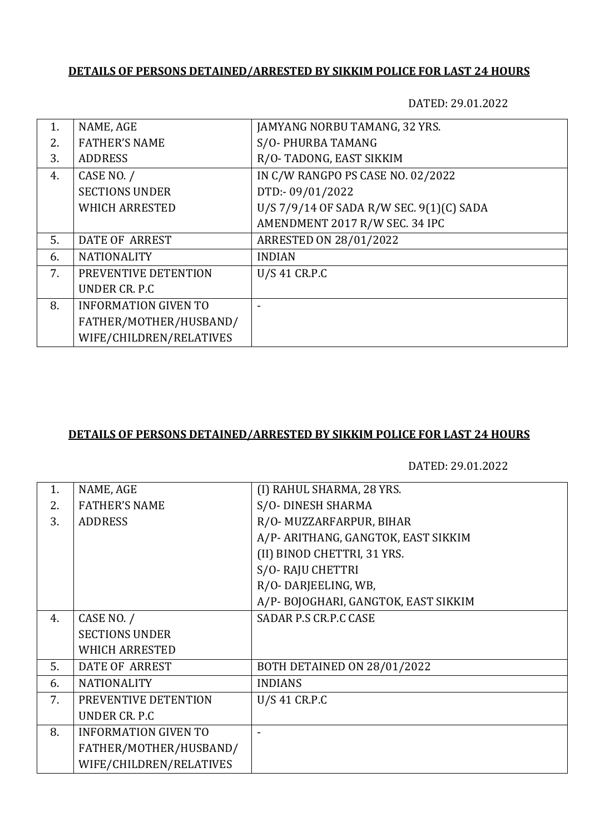## **DETAILS OF PERSONS DETAINED/ARRESTED BY SIKKIM POLICE FOR LAST 24 HOURS**

DATED: 29.01.2022

| NAME, AGE                   | JAMYANG NORBU TAMANG, 32 YRS.            |
|-----------------------------|------------------------------------------|
| <b>FATHER'S NAME</b>        | S/O-PHURBA TAMANG                        |
| <b>ADDRESS</b>              | R/O-TADONG, EAST SIKKIM                  |
| CASE NO. /                  | IN C/W RANGPO PS CASE NO. 02/2022        |
| <b>SECTIONS UNDER</b>       | DTD:-09/01/2022                          |
| <b>WHICH ARRESTED</b>       | U/S 7/9/14 OF SADA R/W SEC. 9(1)(C) SADA |
|                             | AMENDMENT 2017 R/W SEC. 34 IPC           |
| <b>DATE OF ARREST</b>       | <b>ARRESTED ON 28/01/2022</b>            |
| <b>NATIONALITY</b>          | <b>INDIAN</b>                            |
| PREVENTIVE DETENTION        | U/S 41 CR.P.C                            |
| UNDER CR. P.C.              |                                          |
| <b>INFORMATION GIVEN TO</b> |                                          |
| FATHER/MOTHER/HUSBAND/      |                                          |
| WIFE/CHILDREN/RELATIVES     |                                          |
|                             |                                          |

## **DETAILS OF PERSONS DETAINED/ARRESTED BY SIKKIM POLICE FOR LAST 24 HOURS**

DATED: 29.01.2022

| 1. | NAME, AGE                   | (I) RAHUL SHARMA, 28 YRS.           |
|----|-----------------------------|-------------------------------------|
| 2. | <b>FATHER'S NAME</b>        | S/O-DINESH SHARMA                   |
| 3. | <b>ADDRESS</b>              | R/O- MUZZARFARPUR, BIHAR            |
|    |                             | A/P- ARITHANG, GANGTOK, EAST SIKKIM |
|    |                             | (II) BINOD CHETTRI, 31 YRS.         |
|    |                             | S/O-RAJU CHETTRI                    |
|    |                             | R/O-DARJEELING, WB,                 |
|    |                             | A/P-BOJOGHARI, GANGTOK, EAST SIKKIM |
| 4. | CASE NO. /                  | SADAR P.S CR.P.C CASE               |
|    | <b>SECTIONS UNDER</b>       |                                     |
|    | <b>WHICH ARRESTED</b>       |                                     |
| 5. | DATE OF ARREST              | BOTH DETAINED ON 28/01/2022         |
| 6. | <b>NATIONALITY</b>          | <b>INDIANS</b>                      |
| 7. | PREVENTIVE DETENTION        | U/S 41 CR.P.C                       |
|    | UNDER CR. P.C               |                                     |
| 8. | <b>INFORMATION GIVEN TO</b> |                                     |
|    | FATHER/MOTHER/HUSBAND/      |                                     |
|    | WIFE/CHILDREN/RELATIVES     |                                     |